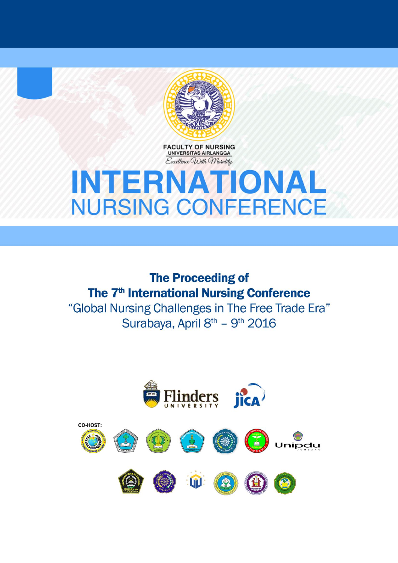

**FACULTY OF NURSING**<br>UNIVERSITAS AIRLANGGA Excellence With Morality

# **INTERNATIONAL NURSING CONFERENCE**

**The Proceeding of** The 7<sup>th</sup> International Nursing Conference "Global Nursing Challenges in The Free Trade Era" Surabaya, April 8th - 9th 2016

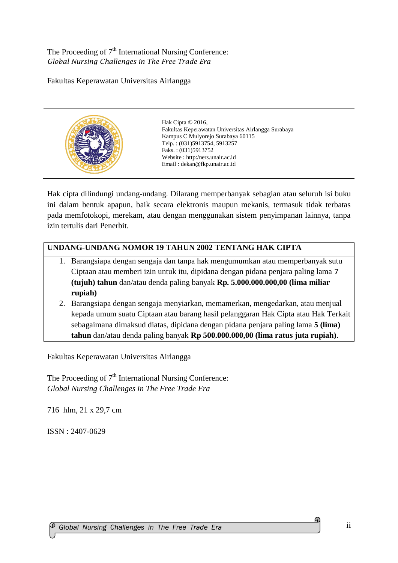The Proceeding of  $7<sup>th</sup>$  International Nursing Conference: *Global Nursing Challenges in The Free Trade Era*

Fakultas Keperawatan Universitas Airlangga



Hak Cipta © 2016. Fakultas Keperawatan Universitas Airlangga Surabaya Kampus C Mulyorejo Surabaya 60115 Telp. : (031)5913754, 5913257 Faks. : (031)5913752 Website : http:/ners.unair.ac.id Email : dekan@fkp.unair.ac.id

Hak cipta dilindungi undang-undang. Dilarang memperbanyak sebagian atau seluruh isi buku ini dalam bentuk apapun, baik secara elektronis maupun mekanis, termasuk tidak terbatas pada memfotokopi, merekam, atau dengan menggunakan sistem penyimpanan lainnya, tanpa izin tertulis dari Penerbit.

### **UNDANG-UNDANG NOMOR 19 TAHUN 2002 TENTANG HAK CIPTA**

- 1. Barangsiapa dengan sengaja dan tanpa hak mengumumkan atau memperbanyak sutu Ciptaan atau memberi izin untuk itu, dipidana dengan pidana penjara paling lama **7 (tujuh) tahun** dan/atau denda paling banyak **Rp. 5.000.000.000,00 (lima miliar rupiah)**
- 2. Barangsiapa dengan sengaja menyiarkan, memamerkan, mengedarkan, atau menjual kepada umum suatu Ciptaan atau barang hasil pelanggaran Hak Cipta atau Hak Terkait sebagaimana dimaksud diatas, dipidana dengan pidana penjara paling lama **5 (lima) tahun** dan/atau denda paling banyak **Rp 500.000.000,00 (lima ratus juta rupiah)**.

Fakultas Keperawatan Universitas Airlangga

The Proceeding of  $7<sup>th</sup>$  International Nursing Conference: *Global Nursing Challenges in The Free Trade Era*

716 hlm, 21 x 29,7 cm

ISSN : 2407-0629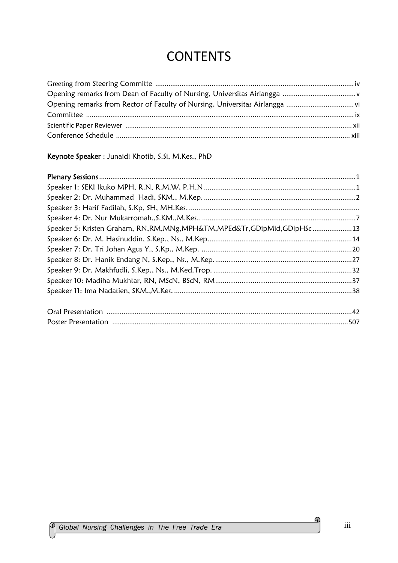# **CONTENTS**

### Keynote Speaker : Junaidi Khotib, S.Si, M.Kes., PhD

| Speaker 5: Kristen Graham, RN, RM, MNg, MPH&TM, MPEd&Tr, GDipMid, GDipHSc 13 |  |
|------------------------------------------------------------------------------|--|
|                                                                              |  |
|                                                                              |  |
|                                                                              |  |
|                                                                              |  |
|                                                                              |  |
|                                                                              |  |
|                                                                              |  |
|                                                                              |  |

 $\mathfrak{Q}$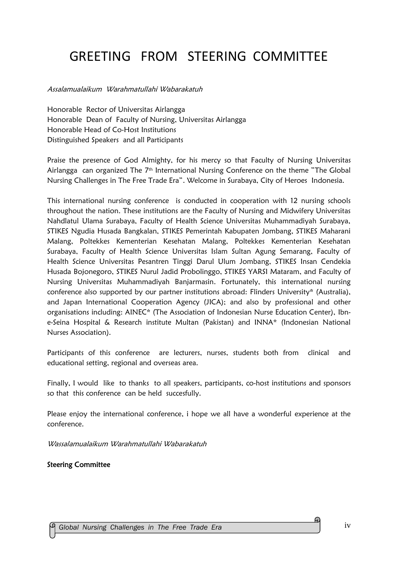# GREETING FROM STEERING COMMITTEE

Assalamualaikum Warahmatullahi Wabarakatuh

Honorable Rector of Universitas Airlangga Honorable Dean of Faculty of Nursing, Universitas Airlangga Honorable Head of Co-Host Institutions Distinguished Speakers and all Participants

Praise the presence of God Almighty, for his mercy so that Faculty of Nursing Universitas Airlangga can organized The 7<sup>th</sup> International Nursing Conference on the theme "The Global Nursing Challenges in The Free Trade Era". Welcome in Surabaya, City of Heroes Indonesia.

This international nursing conference is conducted in cooperation with 12 nursing schools throughout the nation. These institutions are the Faculty of Nursing and Midwifery Universitas Nahdlatul Ulama Surabaya, Faculty of Health Science Universitas Muhammadiyah Surabaya, STIKES Ngudia Husada Bangkalan, STIKES Pemerintah Kabupaten Jombang, STIKES Maharani Malang, Poltekkes Kementerian Kesehatan Malang, Poltekkes Kementerian Kesehatan Surabaya, Faculty of Health Science Universitas Islam Sultan Agung Semarang, Faculty of Health Science Universitas Pesantren Tinggi Darul Ulum Jombang, STIKES Insan Cendekia Husada Bojonegoro, STIKES Nurul Jadid Probolinggo, STIKES YARSI Mataram, and Faculty of Nursing Universitas Muhammadiyah Banjarmasin. Fortunately, this international nursing conference also supported by our partner institutions abroad: Flinders University\* (Australia), and Japan International Cooperation Agency (JICA); and also by professional and other organisations including: AINEC\* (The Association of Indonesian Nurse Education Center), Ibne-Seina Hospital & Research institute Multan (Pakistan) and INNA\* (Indonesian National Nurses Association).

Participants of this conference are lecturers, nurses, students both from clinical and educational setting, regional and overseas area.

Finally, I would like to thanks to all speakers, participants, co-host institutions and sponsors so that this conference can be held succesfully.

Please enjoy the international conference, i hope we all have a wonderful experience at the conference.

Wassalamualaikum Warahmatullahi Wabarakatuh

Steering Committee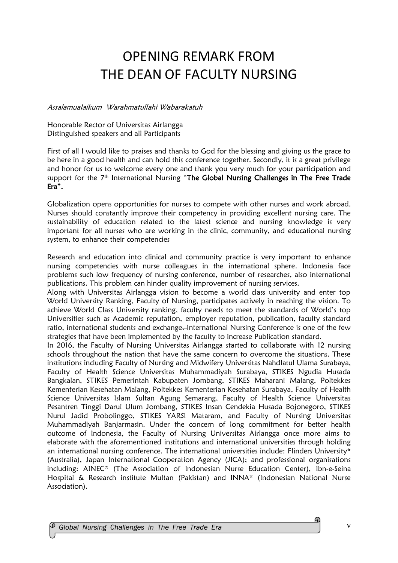# OPENING REMARK FROM THE DEAN OF FACULTY NURSING

#### Assalamualaikum Warahmatullahi Wabarakatuh

Honorable Rector of Universitas Airlangga Distinguished speakers and all Participants

First of all I would like to praises and thanks to God for the blessing and giving us the grace to be here in a good health and can hold this conference together. Secondly, it is a great privilege and honor for us to welcome every one and thank you very much for your participation and support for the 7<sup>th</sup> International Nursing "The Global Nursing Challenges in The Free Trade Era".

Globalization opens opportunities for nurses to compete with other nurses and work abroad. Nurses should constantly improve their competency in providing excellent nursing care. The sustainability of education related to the latest science and nursing knowledge is very important for all nurses who are working in the clinic, community, and educational nursing system, to enhance their competencies

Research and education into clinical and community practice is very important to enhance nursing competencies with nurse colleagues in the international sphere. Indonesia face problems such low frequency of nursing conference, number of researches, also international publications. This problem can hinder quality improvement of nursing services.

Along with Universitas Airlangga vision to become a world class university and enter top World University Ranking, Faculty of Nursing, participates actively in reaching the vision. To achieve World Class University ranking, faculty needs to meet the standards of World's top Universities such as Academic reputation, employer reputation, publication, faculty standard ratio, international students and exchange. International Nursing Conference is one of the few strategies that have been implemented by the faculty to increase Publication standard.

In 2016, the Faculty of Nursing Universitas Airlangga started to collaborate with 12 nursing schools throughout the nation that have the same concern to overcome the situations. These institutions including Faculty of Nursing and Midwifery Universitas Nahdlatul Ulama Surabaya, Faculty of Health Science Universitas Muhammadiyah Surabaya, STIKES Ngudia Husada Bangkalan, STIKES Pemerintah Kabupaten Jombang, STIKES Maharani Malang, Poltekkes Kementerian Kesehatan Malang, Poltekkes Kementerian Kesehatan Surabaya, Faculty of Health Science Universitas Islam Sultan Agung Semarang, Faculty of Health Science Universitas Pesantren Tinggi Darul Ulum Jombang, STIKES Insan Cendekia Husada Bojonegoro, STIKES Nurul Jadid Probolinggo, STIKES YARSI Mataram, and Faculty of Nursing Universitas Muhammadiyah Banjarmasin. Under the concern of long commitment for better health outcome of Indonesia, the Faculty of Nursing Universitas Airlangga once more aims to elaborate with the aforementioned institutions and international universities through holding an international nursing conference. The international universities include: Flinders University\* (Australia), Japan International Cooperation Agency (JICA); and professional organisations including: AINEC\* (The Association of Indonesian Nurse Education Center), Ibn-e-Seina Hospital & Research institute Multan (Pakistan) and INNA\* (Indonesian National Nurse Association).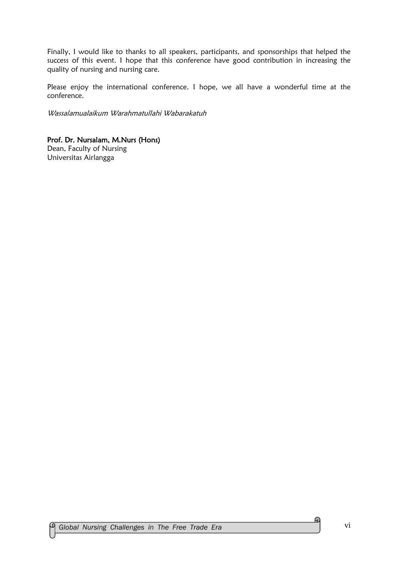Finally, I would like to thanks to all speakers, participants, and sponsorships that helped the success of this event. I hope that this conference have good contribution in increasing the quality of nursing and nursing care.

Please enjoy the international conference. I hope, we all have a wonderful time at the conference.

Wassalamualaikum Warahmatullahi Wabarakatuh

#### Prof. Dr. Nursalam, M.Nurs (Hons)

Dean, Faculty of Nursing Universitas Airlangga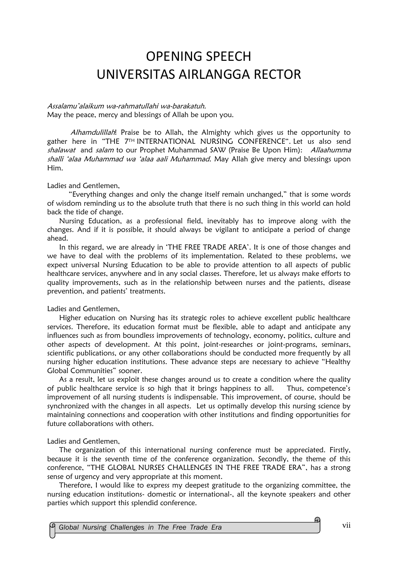# OPENING SPEECH UNIVERSITAS AIRLANGGA RECTOR

Assalamu'alaikum wa-rahmatullahi wa-barakatuh. May the peace, mercy and blessings of Allah be upon you.

Alhamdulillah! Praise be to Allah, the Almighty which gives us the opportunity to gather here in "THE 7TH INTERNATIONAL NURSING CONFERENCE". Let us also send shalawat and salam to our Prophet Muhammad SAW (Praise Be Upon Him): Allaahumma shalli 'alaa Muhammad wa 'alaa aali Muhammad. May Allah give mercy and blessings upon Him.

Ladies and Gentlemen,

 "Everything changes and only the change itself remain unchanged," that is some words of wisdom reminding us to the absolute truth that there is no such thing in this world can hold back the tide of change.

Nursing Education, as a professional field, inevitably has to improve along with the changes. And if it is possible, it should always be vigilant to anticipate a period of change ahead.

In this regard, we are already in 'THE FREE TRADE AREA'. It is one of those changes and we have to deal with the problems of its implementation. Related to these problems, we expect universal Nursing Education to be able to provide attention to all aspects of public healthcare services, anywhere and in any social classes. Therefore, let us always make efforts to quality improvements, such as in the relationship between nurses and the patients, disease prevention, and patients' treatments.

Ladies and Gentlemen,

Higher education on Nursing has its strategic roles to achieve excellent public healthcare services. Therefore, its education format must be flexible, able to adapt and anticipate any influences such as from boundless improvements of technology, economy, politics, culture and other aspects of development. At this point, joint-researches or joint-programs, seminars, scientific publications, or any other collaborations should be conducted more frequently by all nursing higher education institutions. These advance steps are necessary to achieve "Healthy Global Communities" sooner.

As a result, let us exploit these changes around us to create a condition where the quality of public healthcare service is so high that it brings happiness to all. Thus, competence's improvement of all nursing students is indispensable. This improvement, of course, should be synchronized with the changes in all aspects. Let us optimally develop this nursing science by maintaining connections and cooperation with other institutions and finding opportunities for future collaborations with others.

Ladies and Gentlemen,

The organization of this international nursing conference must be appreciated. Firstly, because it is the seventh time of the conference organization. Secondly, the theme of this conference, "THE GLOBAL NURSES CHALLENGES IN THE FREE TRADE ERA", has a strong sense of urgency and very appropriate at this moment.

Therefore, I would like to express my deepest gratitude to the organizing committee, the nursing education institutions- domestic or international-, all the keynote speakers and other parties which support this splendid conference.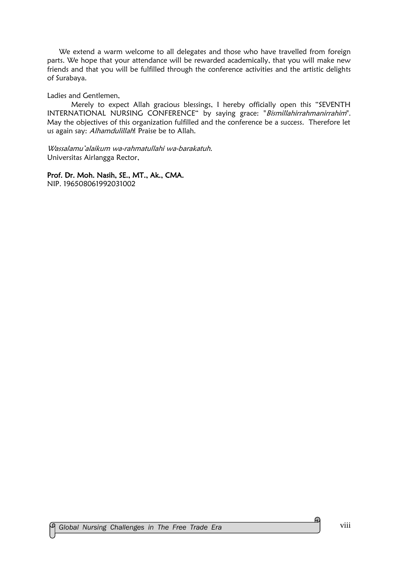We extend a warm welcome to all delegates and those who have travelled from foreign parts. We hope that your attendance will be rewarded academically, that you will make new friends and that you will be fulfilled through the conference activities and the artistic delights of Surabaya.

Ladies and Gentlemen,

Merely to expect Allah gracious blessings, I hereby officially open this "SEVENTH INTERNATIONAL NURSING CONFERENCE" by saying grace: "Bismillahirrahmanirrahim". May the objectives of this organization fulfilled and the conference be a success. Therefore let us again say: Alhamdulillah! Praise be to Allah.

Wassalamu'alaikum wa-rahmatullahi wa-barakatuh. Universitas Airlangga Rector,

Prof. Dr. Moh. Nasih, SE., MT., Ak., CMA.

NIP. 196508061992031002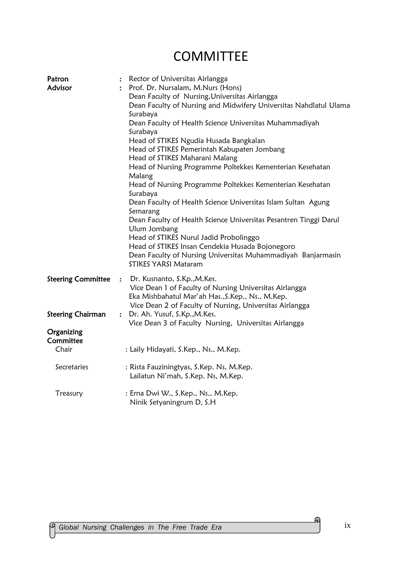# **COMMITTEE**

| Patron<br>Advisor                                     | Rector of Universitas Airlangga<br>$\ddot{\cdot}$<br>Prof. Dr. Nursalam, M.Nurs (Hons)<br>÷<br>Dean Faculty of Nursing, Universitas Airlangga<br>Dean Faculty of Nursing and Midwifery Universitas Nahdlatul Ulama<br>Surabaya<br>Dean Faculty of Health Science Universitas Muhammadiyah<br>Surabaya<br>Head of STIKES Ngudia Husada Bangkalan<br>Head of STIKES Pemerintah Kabupaten Jombang<br>Head of STIKES Maharani Malang<br>Head of Nursing Programme Poltekkes Kementerian Kesehatan<br>Malang<br>Head of Nursing Programme Poltekkes Kementerian Kesehatan<br>Surabaya<br>Dean Faculty of Health Science Universitas Islam Sultan Agung<br>Semarang<br>Dean Faculty of Health Science Universitas Pesantren Tinggi Darul<br>Ulum Jombang<br>Head of STIKES Nurul Jadid Probolinggo<br>Head of STIKES Insan Cendekia Husada Bojonegoro<br>Dean Faculty of Nursing Universitas Muhammadiyah Banjarmasin<br><b>STIKES YARSI Mataram</b> |
|-------------------------------------------------------|------------------------------------------------------------------------------------------------------------------------------------------------------------------------------------------------------------------------------------------------------------------------------------------------------------------------------------------------------------------------------------------------------------------------------------------------------------------------------------------------------------------------------------------------------------------------------------------------------------------------------------------------------------------------------------------------------------------------------------------------------------------------------------------------------------------------------------------------------------------------------------------------------------------------------------------------|
| <b>Steering Committee</b><br><b>Steering Chairman</b> | : Dr. Kusnanto, S.Kp., M.Kes.<br>Vice Dean 1 of Faculty of Nursing Universitas Airlangga<br>Eka Mishbahatul Mar'ah Has., S. Kep., Ns., M. Kep.<br>Vice Dean 2 of Faculty of Nursing, Universitas Airlangga<br>: Dr. Ah. Yusuf, S.Kp., M.Kes.                                                                                                                                                                                                                                                                                                                                                                                                                                                                                                                                                                                                                                                                                                   |
|                                                       | Vice Dean 3 of Faculty Nursing, Universitas Airlangga                                                                                                                                                                                                                                                                                                                                                                                                                                                                                                                                                                                                                                                                                                                                                                                                                                                                                          |
| Organizing<br>Committee                               |                                                                                                                                                                                                                                                                                                                                                                                                                                                                                                                                                                                                                                                                                                                                                                                                                                                                                                                                                |
| Chair                                                 | : Laily Hidayati, S.Kep., Ns., M.Kep.                                                                                                                                                                                                                                                                                                                                                                                                                                                                                                                                                                                                                                                                                                                                                                                                                                                                                                          |
| Secretaries                                           | : Rista Fauziningtyas, S.Kep. Ns, M.Kep.<br>Lailatun Ni'mah, S.Kep. Ns, M.Kep.                                                                                                                                                                                                                                                                                                                                                                                                                                                                                                                                                                                                                                                                                                                                                                                                                                                                 |
| Treasury                                              | : Erna Dwi W., S.Kep., Ns., M.Kep.<br>Ninik Setyaningrum D, S.H                                                                                                                                                                                                                                                                                                                                                                                                                                                                                                                                                                                                                                                                                                                                                                                                                                                                                |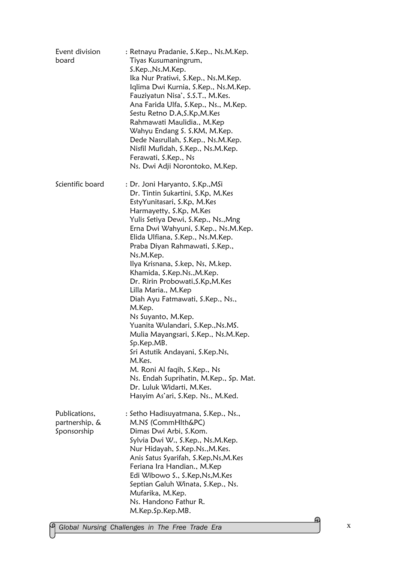| Event division<br>board                        | : Retnayu Pradanie, S.Kep., Ns.M.Kep.<br>Tiyas Kusumaningrum,<br>S.Kep., Ns.M.Kep.<br>Ika Nur Pratiwi, S.Kep., Ns.M.Kep.<br>Iqlima Dwi Kurnia, S.Kep., Ns.M.Kep.<br>Fauziyatun Nisa', S.S.T., M.Kes.<br>Ana Farida Ulfa, S.Kep., Ns., M.Kep.<br>Sestu Retno D.A, S.Kp, M.Kes<br>Rahmawati Maulidia., M.Kep<br>Wahyu Endang S. S.KM, M.Kep.<br>Dede Nasrullah, S.Kep., Ns.M.Kep.<br>Nisfil Mufidah, S.Kep., Ns.M.Kep.<br>Ferawati, S.Kep., Ns<br>Ns. Dwi Adji Norontoko, M.Kep.                                                                                                                                                                                                                                                                                                     |
|------------------------------------------------|------------------------------------------------------------------------------------------------------------------------------------------------------------------------------------------------------------------------------------------------------------------------------------------------------------------------------------------------------------------------------------------------------------------------------------------------------------------------------------------------------------------------------------------------------------------------------------------------------------------------------------------------------------------------------------------------------------------------------------------------------------------------------------|
| Scientific board                               | : Dr. Joni Haryanto, S.Kp.,MSi<br>Dr. Tintin Sukartini, S.Kp, M.Kes<br>EstyYunitasari, S.Kp, M.Kes<br>Harmayetty, S.Kp, M.Kes<br>Yulis Setiya Dewi, S.Kep., Ns., Mng<br>Erna Dwi Wahyuni, S.Kep., Ns.M.Kep.<br>Elida Ulfiana, S.Kep., Ns.M.Kep.<br>Praba Diyan Rahmawati, S.Kep.,<br>Ns.M.Kep.<br>Ilya Krisnana, S.kep, Ns, M.kep.<br>Khamida, S.Kep.Ns., M.Kep.<br>Dr. Ririn Probowati, S.Kp, M.Kes<br>Lilla Maria., M.Kep<br>Diah Ayu Fatmawati, S.Kep., Ns.,<br>M.Kep.<br>Ns Suyanto, M.Kep.<br>Yuanita Wulandari, S.Kep., Ns.MS.<br>Mulia Mayangsari, S.Kep., Ns.M.Kep.<br>Sp.Kep.MB.<br>Sri Astutik Andayani, S.Kep.Ns,<br>M.Kes.<br>M. Roni Al faqih, S.Kep., Ns<br>Ns. Endah Suprihatin, M.Kep., Sp. Mat.<br>Dr. Luluk Widarti, M.Kes.<br>Hasyim As'ari, S.Kep. Ns., M.Ked. |
| Publications,<br>partnership, &<br>Sponsorship | : Setho Hadisuyatmana, S.Kep., Ns.,<br>M.NS (CommHlth&PC)<br>Dimas Dwi Arbi, S.Kom.<br>Sylvia Dwi W., S.Kep., Ns.M.Kep.<br>Nur Hidayah, S.Kep.Ns., M.Kes.<br>Anis Satus Syarifah, S.Kep, Ns, M.Kes<br>Feriana Ira Handian., M.Kep<br>Edi Wibowo S., S.Kep, Ns, M.Kes<br>Septian Galuh Winata, S.Kep., Ns.<br>Mufarika, M.Kep.<br>Ns. Handono Fathur R.<br>M.Kep.Sp.Kep.MB.                                                                                                                                                                                                                                                                                                                                                                                                         |

x

 $\Omega_{\rm}$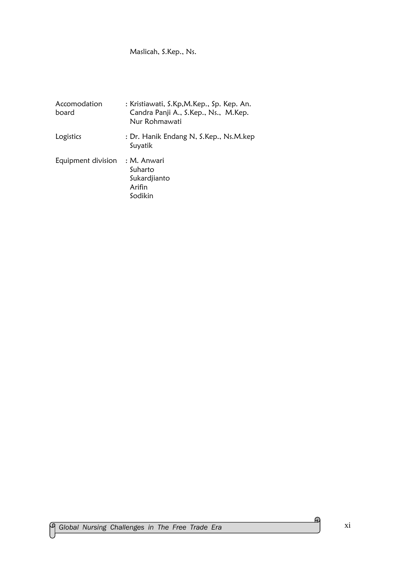### Maslicah, S.Kep., Ns.

| Accomodation<br>board | : Kristiawati, S.Kp, M.Kep., Sp. Kep. An.<br>Candra Panji A., S.Kep., Ns., M.Kep.<br>Nur Rohmawati |
|-----------------------|----------------------------------------------------------------------------------------------------|
| Logistics             | : Dr. Hanik Endang N, S.Kep., Ns.M.kep<br>Suyatik                                                  |
| Equipment division    | : M. Anwari<br>Suharto<br>Sukardjianto<br>Arifin<br>Sodikin                                        |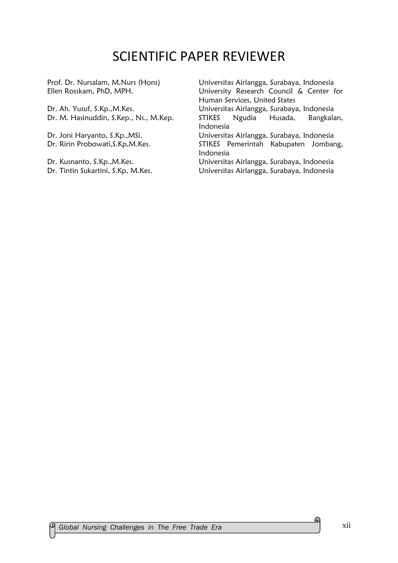## SCIENTIFIC PAPER REVIEWER

Dr. Tintin Sukartini, S.Kp, M.Kes. Universitas Airlangga, Surabaya, Indonesia

Prof. Dr. Nursalam, M.Nurs (Hons) Universitas Airlangga, Surabaya, Indonesia Ellen Rosskam, PhD, MPH. University Research Council & Center for Human Services, United States Dr. Ah. Yusuf, S.Kp.,M.Kes. Universitas Airlangga, Surabaya, Indonesia Dr. M. Hasinuddin, S.Kep., Ns., M.Kep. STIKES Ngudia Husada, Bangkalan, Indonesia Dr. Joni Haryanto, S.Kp.,MSi. Universitas Airlangga, Surabaya, Indonesia Dr. Ririn Probowati, S.Kp, M.Kes. STIKES Pemerintah Kabupaten Jombang, Indonesia Dr. Kusnanto, S.Kp.,M.Kes. Universitas Airlangga, Surabaya, Indonesia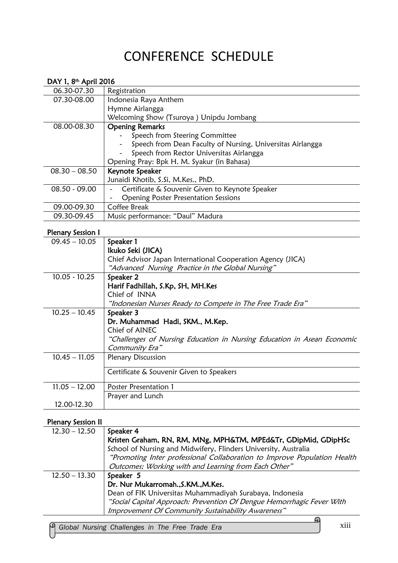# CONFERENCE SCHEDULE

| DAY 1, 8 <sup>th</sup> April 2016 |                                                            |
|-----------------------------------|------------------------------------------------------------|
| 06.30-07.30                       | Registration                                               |
| 07.30-08.00                       | Indonesia Raya Anthem                                      |
|                                   | Hymne Airlangga                                            |
|                                   | Welcoming Show (Tsuroya) Unipdu Jombang                    |
| 08.00-08.30                       | <b>Opening Remarks</b>                                     |
|                                   | Speech from Steering Committee                             |
|                                   | Speech from Dean Faculty of Nursing, Universitas Airlangga |
|                                   | Speech from Rector Universitas Airlangga                   |
|                                   | Opening Pray: Bpk H. M. Syakur (in Bahasa)                 |
| $08.30 - 08.50$                   | Keynote Speaker                                            |
|                                   | Junaidi Khotib, S.Si, M.Kes., PhD.                         |
| $08.50 - 09.00$                   | Certificate & Souvenir Given to Keynote Speaker            |
|                                   | <b>Opening Poster Presentation Sessions</b>                |
| 09.00-09.30                       | Coffee Break                                               |
| 09.30-09.45                       | Music performance: "Daul" Madura                           |

### Plenary Session I

| $09.45 - 10.05$ | Speaker 1                                                               |
|-----------------|-------------------------------------------------------------------------|
|                 | Ikuko Seki (JICA)                                                       |
|                 | Chief Advisor Japan International Cooperation Agency (JICA)             |
|                 | "Advanced Nursing Practice in the Global Nursing"                       |
| $10.05 - 10.25$ | Speaker 2                                                               |
|                 | Harif Fadhillah, S.Kp, SH, MH.Kes                                       |
|                 | Chief of INNA                                                           |
|                 | "Indonesian Nurses Ready to Compete in The Free Trade Era"              |
| $10.25 - 10.45$ | Speaker 3                                                               |
|                 | Dr. Muhammad Hadi, SKM., M.Kep.                                         |
|                 | Chief of AINEC                                                          |
|                 | "Challenges of Nursing Education in Nursing Education in Asean Economic |
|                 | Community Era"                                                          |
| $10.45 - 11.05$ | <b>Plenary Discussion</b>                                               |
|                 |                                                                         |
|                 | Certificate & Souvenir Given to Speakers                                |
| $11.05 - 12.00$ | Poster Presentation 1                                                   |
|                 | Prayer and Lunch                                                        |
| 12.00-12.30     |                                                                         |
|                 |                                                                         |

### Plenary Session II

| $12.30 - 12.50$ | Speaker 4                                                                |
|-----------------|--------------------------------------------------------------------------|
|                 | Kristen Graham, RN, RM, MNg, MPH&TM, MPEd&Tr, GDipMid, GDipHSc           |
|                 | School of Nursing and Midwifery, Flinders University, Australia          |
|                 | "Promoting Inter professional Collaboration to Improve Population Health |
|                 | Outcomes; Working with and Learning from Each Other"                     |
| $12.50 - 13.30$ | Speaker 5                                                                |
|                 | Dr. Nur Mukarromah., S.KM., M.Kes.                                       |
|                 | Dean of FIK Universitas Muhammadiyah Surabaya, Indonesia                 |
|                 | "Social Capital Approach: Prevention Of Dengue Hemorrhagic Fever With    |
|                 | Improvement Of Community Sustainability Awareness"                       |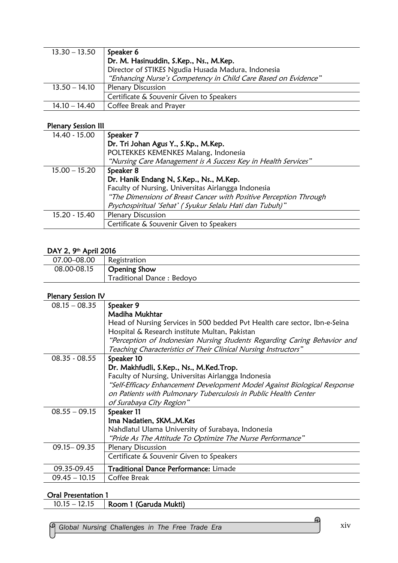| $13.30 - 13.50$ | Speaker 6                                                      |
|-----------------|----------------------------------------------------------------|
|                 | Dr. M. Hasinuddin, S.Kep., Ns., M.Kep.                         |
|                 | Director of STIKES Ngudia Husada Madura, Indonesia             |
|                 | "Enhancing Nurse's Competency in Child Care Based on Evidence" |
| $13.50 - 14.10$ | <b>Plenary Discussion</b>                                      |
|                 | Certificate & Souvenir Given to Speakers                       |
| $14.10 - 14.40$ | Coffee Break and Prayer                                        |

#### Plenary Session III

| 14.40 - 15.00   | Speaker 7                                                         |
|-----------------|-------------------------------------------------------------------|
|                 | Dr. Tri Johan Agus Y., S.Kp., M.Kep.                              |
|                 | POLTEKKES KEMENKES Malang, Indonesia                              |
|                 | "Nursing Care Management is A Success Key in Health Services"     |
| $15.00 - 15.20$ | Speaker 8                                                         |
|                 | Dr. Hanik Endang N, S.Kep., Ns., M.Kep.                           |
|                 | Faculty of Nursing, Universitas Airlangga Indonesia               |
|                 | "The Dimensions of Breast Cancer with Positive Perception Through |
|                 | Psychospiritual 'Sehat' (Syukur Selalu Hati dan Tubuh)"           |
| 15.20 - 15.40   | <b>Plenary Discussion</b>                                         |
|                 | Certificate & Souvenir Given to Speakers                          |

#### DAY 2, 9th April 2016

| 07.00-08.00 | Registration               |
|-------------|----------------------------|
| 08.00-08.15 | <b>Opening Show</b>        |
|             | Traditional Dance : Bedoyo |

#### Plenary Session IV

| $08.15 - 08.35$ | Speaker 9                                                                  |
|-----------------|----------------------------------------------------------------------------|
|                 | <b>Madiha Mukhtar</b>                                                      |
|                 | Head of Nursing Services in 500 bedded Pvt Health care sector, Ibn-e-Seina |
|                 | Hospital & Research institute Multan, Pakistan                             |
|                 | "Perception of Indonesian Nursing Students Regarding Caring Behavior and   |
|                 | Teaching Characteristics of Their Clinical Nursing Instructors"            |
| $08.35 - 08.55$ | Speaker 10                                                                 |
|                 | Dr. Makhfudli, S.Kep., Ns., M.Ked.Trop.                                    |
|                 | Faculty of Nursing, Universitas Airlangga Indonesia                        |
|                 | "Self-Efficacy Enhancement Development Model Against Biological Response   |
|                 | on Patients with Pulmonary Tuberculosis in Public Health Center            |
|                 | of Surabaya City Region"                                                   |
| $08.55 - 09.15$ | Speaker 11                                                                 |
|                 | Ima Nadatien, SKM., M.Kes                                                  |
|                 | Nahdlatul Ulama University of Surabaya, Indonesia                          |
|                 | "Pride As The Attitude To Optimize The Nurse Performance"                  |
| $09.15 - 09.35$ | <b>Plenary Discussion</b>                                                  |
|                 | Certificate & Souvenir Given to Speakers                                   |
| 09.35-09.45     | Traditional Dance Performance: Limade                                      |
| $09.45 - 10.15$ | Coffee Break                                                               |
|                 |                                                                            |

### Oral Presentation 1

| Room 1 (Garuda Mukti)<br>$10.15 - 12.15$ |  |
|------------------------------------------|--|
|------------------------------------------|--|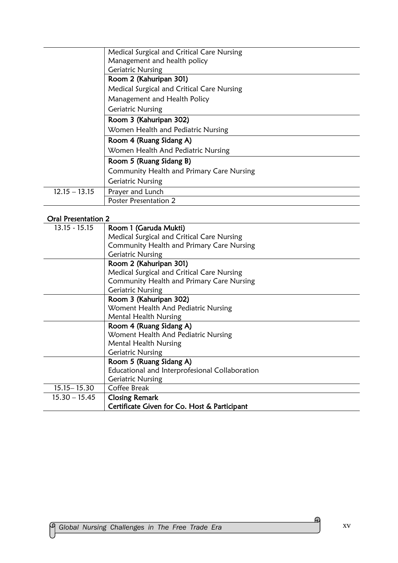|                 | Medical Surgical and Critical Care Nursing |
|-----------------|--------------------------------------------|
|                 | Management and health policy               |
|                 | <b>Geriatric Nursing</b>                   |
|                 | Room 2 (Kahuripan 301)                     |
|                 | Medical Surgical and Critical Care Nursing |
|                 | Management and Health Policy               |
|                 | <b>Geriatric Nursing</b>                   |
|                 | Room 3 (Kahuripan 302)                     |
|                 | Women Health and Pediatric Nursing         |
|                 | Room 4 (Ruang Sidang A)                    |
|                 | Women Health And Pediatric Nursing         |
|                 | Room 5 (Ruang Sidang B)                    |
|                 | Community Health and Primary Care Nursing  |
|                 | <b>Geriatric Nursing</b>                   |
| $12.15 - 13.15$ | Prayer and Lunch                           |
|                 | Poster Presentation 2                      |

### Oral Presentation 2

| $13.15 - 15.15$ | Room 1 (Garuda Mukti)                          |
|-----------------|------------------------------------------------|
|                 | Medical Surgical and Critical Care Nursing     |
|                 | Community Health and Primary Care Nursing      |
|                 | <b>Geriatric Nursing</b>                       |
|                 | Room 2 (Kahuripan 301)                         |
|                 | Medical Surgical and Critical Care Nursing     |
|                 | Community Health and Primary Care Nursing      |
|                 | <b>Geriatric Nursing</b>                       |
|                 | Room 3 (Kahuripan 302)                         |
|                 | Woment Health And Pediatric Nursing            |
|                 | Mental Health Nursing                          |
|                 | Room 4 (Ruang Sidang A)                        |
|                 | Woment Health And Pediatric Nursing            |
|                 | <b>Mental Health Nursing</b>                   |
|                 | <b>Geriatric Nursing</b>                       |
|                 | Room 5 (Ruang Sidang A)                        |
|                 | Educational and Interprofesional Collaboration |
|                 | <b>Geriatric Nursing</b>                       |
| $15.15 - 15.30$ | Coffee Break                                   |
| $15.30 - 15.45$ | <b>Closing Remark</b>                          |
|                 | Certificate Given for Co. Host & Participant   |
|                 |                                                |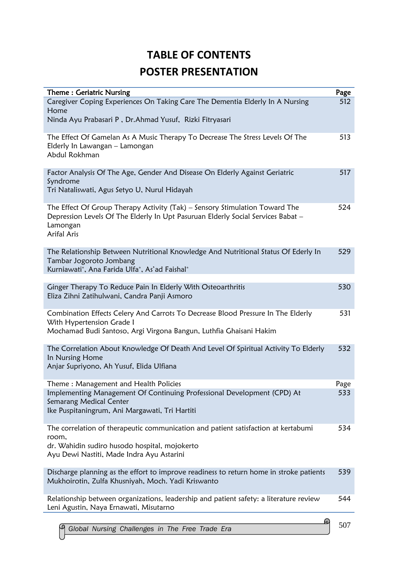## **TABLE OF CONTENTS POSTER PRESENTATION**

| Theme: Geriatric Nursing                                                                                                                                                                   | Page |
|--------------------------------------------------------------------------------------------------------------------------------------------------------------------------------------------|------|
| Caregiver Coping Experiences On Taking Care The Dementia Elderly In A Nursing<br>Home                                                                                                      | 512  |
| Ninda Ayu Prabasari P, Dr.Ahmad Yusuf, Rizki Fitryasari                                                                                                                                    |      |
| The Effect Of Gamelan As A Music Therapy To Decrease The Stress Levels Of The<br>Elderly In Lawangan - Lamongan<br>Abdul Rokhman                                                           | 513  |
| Factor Analysis Of The Age, Gender And Disease On Elderly Against Geriatric<br>Syndrome<br>Tri Nataliswati, Agus Setyo U, Nurul Hidayah                                                    | 517  |
| The Effect Of Group Therapy Activity (Tak) – Sensory Stimulation Toward The<br>Depression Levels Of The Elderly In Upt Pasuruan Elderly Social Services Babat -<br>Lamongan<br>Arifal Aris | 524  |
| The Relationship Between Nutritional Knowledge And Nutritional Status Of Ederly In<br>Tambar Jogoroto Jombang<br>Kurniawati*, Ana Farida Ulfa*, As'ad Faishal*                             | 529  |
| Ginger Therapy To Reduce Pain In Elderly With Osteoarthritis<br>Eliza Zihni Zatihulwani, Candra Panji Asmoro                                                                               | 530  |
| Combination Effects Celery And Carrots To Decrease Blood Pressure In The Elderly<br>With Hypertension Grade I<br>Mochamad Budi Santoso, Argi Virgona Bangun, Luthfia Ghaisani Hakim        | 531  |
| The Correlation About Knowledge Of Death And Level Of Spiritual Activity To Elderly<br>In Nursing Home<br>Anjar Supriyono, Ah Yusuf, Elida Ulfiana                                         | 532  |
| Theme: Management and Health Policies                                                                                                                                                      | Page |
| Implementing Management Of Continuing Professional Development (CPD) At<br>Semarang Medical Center<br>Ike Puspitaningrum, Ani Margawati, Tri Hartiti                                       | 533  |
| The correlation of therapeutic communication and patient satisfaction at kertabumi<br>room,<br>dr. Wahidin sudiro husodo hospital, mojokerto<br>Ayu Dewi Nastiti, Made Indra Ayu Astarini  | 534  |
| Discharge planning as the effort to improve readiness to return home in stroke patients<br>Mukhoirotin, Zulfa Khusniyah, Moch. Yadi Kriswanto                                              | 539  |
| Relationship between organizations, leadership and patient safety: a literature review<br>Leni Agustin, Naya Ernawati, Misutarno                                                           | 544  |
| ൘                                                                                                                                                                                          |      |

507 *Global Nursing Challenges in The Free Trade Era*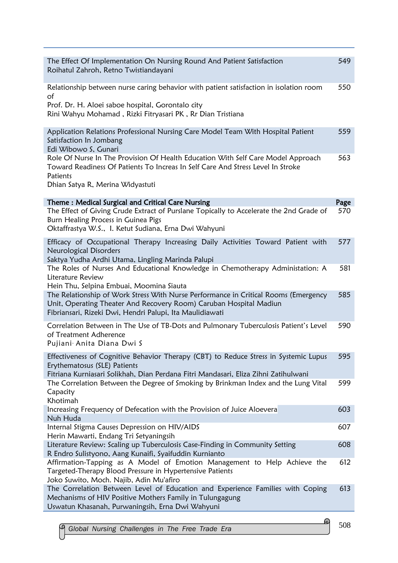| The Effect Of Implementation On Nursing Round And Patient Satisfaction<br>Roihatul Zahroh, Retno Twistiandayani                                                                                                       | 549  |
|-----------------------------------------------------------------------------------------------------------------------------------------------------------------------------------------------------------------------|------|
| Relationship between nurse caring behavior with patient satisfaction in isolation room<br>of<br>Prof. Dr. H. Aloei saboe hospital, Gorontalo city<br>Rini Wahyu Mohamad, Rizki Fitryasari PK, Rr Dian Tristiana       | 550  |
| Application Relations Professional Nursing Care Model Team With Hospital Patient<br>Satisfaction In Jombang<br>Edi Wibowo S, Gunari                                                                                   | 559  |
| Role Of Nurse In The Provision Of Health Education With Self Care Model Approach<br>Toward Readiness Of Patients To Increas In Self Care And Stress Level In Stroke<br>Patients<br>Dhian Satya R, Merina Widyastuti   | 563  |
| Theme: Medical Surgical and Critical Care Nursing                                                                                                                                                                     | Page |
| The Effect of Giving Crude Extract of Purslane Topically to Accelerate the 2nd Grade of<br>Burn Healing Process in Guinea Pigs<br>Oktaffrastya W.S., I. Ketut Sudiana, Erna Dwi Wahyuni                               | 570  |
| Efficacy of Occupational Therapy Increasing Daily Activities Toward Patient with<br>Neurological Disorders<br>Saktya Yudha Ardhi Utama, Lingling Marinda Palupi                                                       | 577  |
| The Roles of Nurses And Educational Knowledge in Chemotherapy Administation: A<br>Literature Review<br>Hein Thu, Selpina Embuai, Moomina Siauta                                                                       | 581  |
| The Relationship of Work Stress With Nurse Performance in Critical Rooms (Emergency<br>Unit, Operating Theater And Recovery Room) Caruban Hospital Madiun<br>Fibriansari, Rizeki Dwi, Hendri Palupi, Ita Maulidiawati | 585  |
| Correlation Between in The Use of TB-Dots and Pulmonary Tuberculosis Patient's Level<br>of Treatment Adherence<br>Pujiani Anita Diana Dwi S                                                                           | 590  |
| Effectiveness of Cognitive Behavior Therapy (CBT) to Reduce Stress in Systemic Lupus<br>Erythematosus (SLE) Patients<br>Fitriana Kurniasari Solikhah, Dian Perdana Fitri Mandasari, Eliza Zihni Zatihulwani           | 595  |
| The Correlation Between the Degree of Smoking by Brinkman Index and the Lung Vital<br>Capacity<br>Khotimah                                                                                                            | 599  |
| Increasing Frequency of Defecation with the Provision of Juice Aloevera<br>Nuh Huda                                                                                                                                   | 603  |
| Internal Stigma Causes Depression on HIV/AIDS<br>Herin Mawarti, Endang Tri Setyaningsih                                                                                                                               | 607  |
| Literature Review: Scaling up Tuberculosis Case-Finding in Community Setting<br>R Endro Sulistyono, Aang Kunaifi, Syaifuddin Kurnianto                                                                                | 608  |
| Affirmation-Tapping as A Model of Emotion Management to Help Achieve the<br>Targeted-Therapy Blood Pressure in Hypertensive Patients<br>Joko Suwito, Moch. Najib, Adin Mu'afiro                                       | 612  |
| The Correlation Between Level of Education and Experience Families with Coping<br>Mechanisms of HIV Positive Mothers Family in Tulungagung<br>Uswatun Khasanah, Purwaningsih, Erna Dwi Wahyuni                        | 613  |
|                                                                                                                                                                                                                       |      |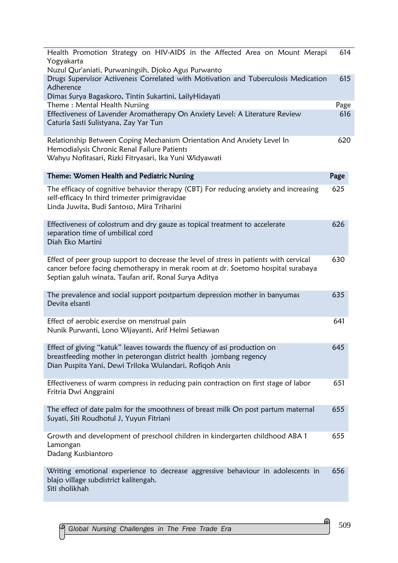| Health Promotion Strategy on HIV-AIDS in the Affected Area on Mount Merapi                                                                                                                                                          | 614         |
|-------------------------------------------------------------------------------------------------------------------------------------------------------------------------------------------------------------------------------------|-------------|
| Yogyakarta<br>Nuzul Qur'aniati, Purwaningsih, Djoko Agus Purwanto                                                                                                                                                                   |             |
| Drugs Supervisor Activeness Correlated with Motivation and Tuberculosis Medication<br>Adherence                                                                                                                                     | 615         |
| Dimas Surya Bagaskoro, Tintin Sukartini, LailyHidayati<br>Theme: Mental Health Nursing                                                                                                                                              |             |
| Effectiveness of Lavender Aromatherapy On Anxiety Level: A Literature Review<br>Caturia Sasti Sulistyana, Zay Yar Tun                                                                                                               | Page<br>616 |
| Relationship Between Coping Mechanism Orientation And Anxiety Level In<br>Hemodialysis Chronic Renal Failure Patients<br>Wahyu Nofitasari, Rizki Fitryasari, Ika Yuni Widyawati                                                     | 620         |
| Theme: Women Health and Pediatric Nursing                                                                                                                                                                                           | Page        |
| The efficacy of cognitive behavior therapy (CBT) For reducing anxiety and increasing<br>self-efficacy In third trimester primigravidae<br>Linda Juwita, Budi Santoso, Mira Triharini                                                | 625         |
| Effectiveness of colostrum and dry gauze as topical treatment to accelerate<br>separation time of umbilical cord<br>Diah Eko Martini                                                                                                | 626         |
| Effect of peer group support to decrease the level of stress in patients with cervical<br>cancer before facing chemotherapy in merak room at dr. Soetomo hospital surabaya<br>Septian galuh winata, Taufan arif, Ronal Surya Aditya | 630         |
| The prevalence and social support postpartum depression mother in banyumas<br>Devita elsanti                                                                                                                                        | 635         |
| Effect of aerobic exercise on menstrual pain<br>Nunik Purwanti, Lono Wijayanti, Arif Helmi Setiawan                                                                                                                                 | 641         |
| Effect of giving "katuk" leaves towards the fluency of asi production on<br>breastfeeding mother in peterongan district health jombang regency<br>Dian Puspita Yani, Dewi Triloka Wulandari, Rofiqoh Anis                           | 645         |
| Effectiveness of warm compress in reducing pain contraction on first stage of labor<br>Fritria Dwi Anggraini                                                                                                                        | 651         |
| The effect of date palm for the smoothness of breast milk On post partum maternal<br>Suyati, Siti Roudhotul J, Yuyun Fitriani                                                                                                       | 655         |
| Growth and development of preschool children in kindergarten childhood ABA 1<br>Lamongan<br>Dadang Kusbiantoro                                                                                                                      | 655         |
| Writing emotional experience to decrease aggressive behaviour in adolescents in<br>blajo village subdistrict kalitengah.<br>Siti sholikhah                                                                                          | 656         |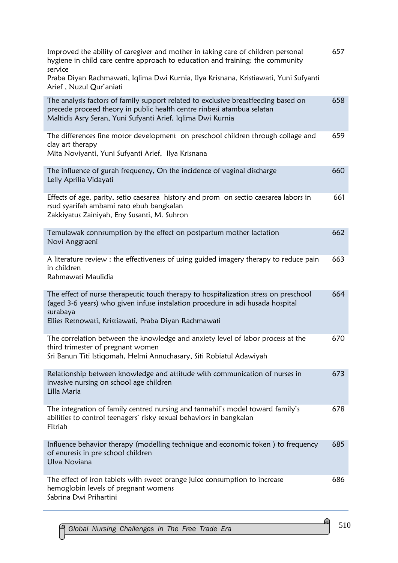| Improved the ability of caregiver and mother in taking care of children personal<br>hygiene in child care centre approach to education and training: the community<br>service<br>Praba Diyan Rachmawati, Iqlima Dwi Kurnia, Ilya Krisnana, Kristiawati, Yuni Sufyanti<br>Arief, Nuzul Qur'aniati | 657 |
|--------------------------------------------------------------------------------------------------------------------------------------------------------------------------------------------------------------------------------------------------------------------------------------------------|-----|
| The analysis factors of family support related to exclusive breastfeeding based on<br>precede proceed theory in public health centre rinbesi atambua selatan<br>Maltidis Asry Seran, Yuni Sufyanti Arief, Iqlima Dwi Kurnia                                                                      | 658 |
| The differences fine motor development on preschool children through collage and<br>clay art therapy<br>Mita Noviyanti, Yuni Sufyanti Arief, Ilya Krisnana                                                                                                                                       | 659 |
| The influence of gurah frequency, On the incidence of vaginal discharge<br>Lelly Aprilia Vidayati                                                                                                                                                                                                | 660 |
| Effects of age, parity, setio caesarea history and prom on sectio caesarea labors in<br>rsud syarifah ambami rato ebuh bangkalan<br>Zakkiyatus Zainiyah, Eny Susanti, M. Suhron                                                                                                                  | 661 |
| Temulawak connsumption by the effect on postpartum mother lactation<br>Novi Anggraeni                                                                                                                                                                                                            | 662 |
| A literature review : the effectiveness of using guided imagery therapy to reduce pain<br>in children<br>Rahmawati Maulidia                                                                                                                                                                      | 663 |
| The effect of nurse therapeutic touch therapy to hospitalization stress on preschool<br>(aged 3-6 years) who given infuse instalation procedure in adi husada hospital<br>surabaya<br>Ellies Retnowati, Kristiawati, Praba Diyan Rachmawati                                                      | 664 |
| The correlation between the knowledge and anxiety level of labor process at the<br>third trimester of pregnant women<br>Sri Banun Titi Istiqomah, Helmi Annuchasary, Siti Robiatul Adawiyah                                                                                                      | 670 |
| Relationship between knowledge and attitude with communication of nurses in<br>invasive nursing on school age children<br>Lilla Maria                                                                                                                                                            | 673 |
| The integration of family centred nursing and tannahil's model toward family's<br>abilities to control teenagers' risky sexual behaviors in bangkalan<br>Fitriah                                                                                                                                 | 678 |
| Influence behavior therapy (modelling technique and economic token) to frequency<br>of enuresis in pre school children<br>Ulva Noviana                                                                                                                                                           | 685 |
| The effect of iron tablets with sweet orange juice consumption to increase<br>hemoglobin levels of pregnant womens<br>Sabrina Dwi Prihartini                                                                                                                                                     | 686 |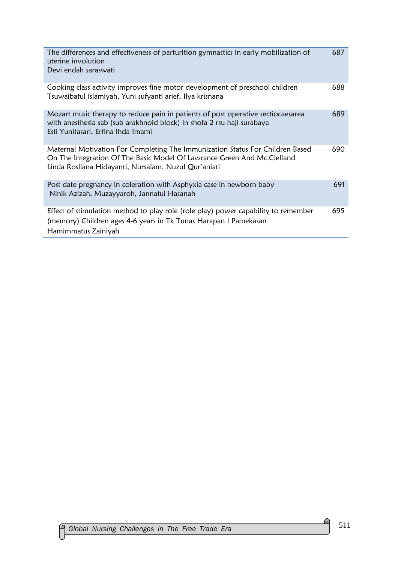| The differences and effectiveness of parturition gymnastics in early mobilization of<br>uterine involution<br>Devi endah saraswati                                                                                | 687 |
|-------------------------------------------------------------------------------------------------------------------------------------------------------------------------------------------------------------------|-----|
| Cooking class activity improves fine motor development of preschool children<br>Tsuwaibatul islamiyah, Yuni sufyanti arief, Ilya krisnana                                                                         | 688 |
| Mozart music therapy to reduce pain in patients of post operative sectiocaesarea<br>with anesthesia sab (sub arakhnoid block) in shofa 2 rsu haji surabaya<br>Esti Yunitasari, Erfina Ihda Imami                  | 689 |
| Maternal Motivation For Completing The Immunization Status For Children Based<br>On The Integration Of The Basic Model Of Lawrance Green And Mc. Clelland<br>Linda Rosliana Hidayanti, Nursalam, Nuzul Qur'aniati | 690 |
| Post date pregnancy in coleration with Asphyxia case in newborn baby<br>Ninik Azizah, Muzayyaroh, Jannatul Hasanah                                                                                                | 691 |
| Effect of stimulation method to play role (role play) power capability to remember<br>(memory) Children ages 4-6 years in Tk Tunas Harapan I Pamekasan<br>Hamimmatus Zainiyah                                     | 695 |